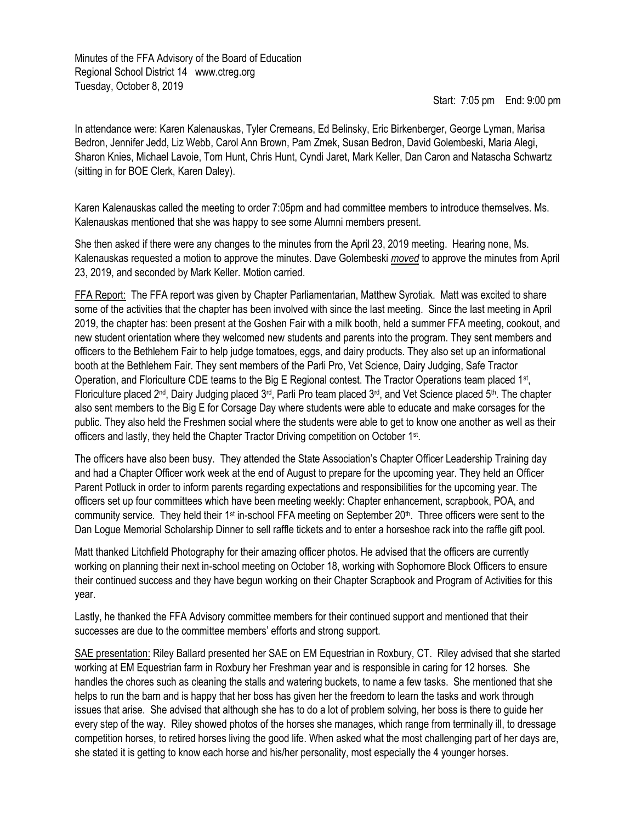Minutes of the FFA Advisory of the Board of Education Regional School District 14 www.ctreg.org Tuesday, October 8, 2019

Start: 7:05 pm End: 9:00 pm

In attendance were: Karen Kalenauskas, Tyler Cremeans, Ed Belinsky, Eric Birkenberger, George Lyman, Marisa Bedron, Jennifer Jedd, Liz Webb, Carol Ann Brown, Pam Zmek, Susan Bedron, David Golembeski, Maria Alegi, Sharon Knies, Michael Lavoie, Tom Hunt, Chris Hunt, Cyndi Jaret, Mark Keller, Dan Caron and Natascha Schwartz (sitting in for BOE Clerk, Karen Daley).

Karen Kalenauskas called the meeting to order 7:05pm and had committee members to introduce themselves. Ms. Kalenauskas mentioned that she was happy to see some Alumni members present.

She then asked if there were any changes to the minutes from the April 23, 2019 meeting. Hearing none, Ms. Kalenauskas requested a motion to approve the minutes. Dave Golembeski *moved* to approve the minutes from April 23, 2019, and seconded by Mark Keller. Motion carried.

FFA Report: The FFA report was given by Chapter Parliamentarian, Matthew Syrotiak. Matt was excited to share some of the activities that the chapter has been involved with since the last meeting. Since the last meeting in April 2019, the chapter has: been present at the Goshen Fair with a milk booth, held a summer FFA meeting, cookout, and new student orientation where they welcomed new students and parents into the program. They sent members and officers to the Bethlehem Fair to help judge tomatoes, eggs, and dairy products. They also set up an informational booth at the Bethlehem Fair. They sent members of the Parli Pro, Vet Science, Dairy Judging, Safe Tractor Operation, and Floriculture CDE teams to the Big E Regional contest. The Tractor Operations team placed 1<sup>st</sup>, Floriculture placed 2<sup>nd</sup>, Dairy Judging placed 3<sup>rd</sup>, Parli Pro team placed 3<sup>rd</sup>, and Vet Science placed 5<sup>th</sup>. The chapter also sent members to the Big E for Corsage Day where students were able to educate and make corsages for the public. They also held the Freshmen social where the students were able to get to know one another as well as their officers and lastly, they held the Chapter Tractor Driving competition on October 1<sup>st</sup>.

The officers have also been busy. They attended the State Association's Chapter Officer Leadership Training day and had a Chapter Officer work week at the end of August to prepare for the upcoming year. They held an Officer Parent Potluck in order to inform parents regarding expectations and responsibilities for the upcoming year. The officers set up four committees which have been meeting weekly: Chapter enhancement, scrapbook, POA, and community service. They held their 1<sup>st</sup> in-school FFA meeting on September  $20<sup>th</sup>$ . Three officers were sent to the Dan Logue Memorial Scholarship Dinner to sell raffle tickets and to enter a horseshoe rack into the raffle gift pool.

Matt thanked Litchfield Photography for their amazing officer photos. He advised that the officers are currently working on planning their next in-school meeting on October 18, working with Sophomore Block Officers to ensure their continued success and they have begun working on their Chapter Scrapbook and Program of Activities for this year.

Lastly, he thanked the FFA Advisory committee members for their continued support and mentioned that their successes are due to the committee members' efforts and strong support.

SAE presentation: Riley Ballard presented her SAE on EM Equestrian in Roxbury, CT. Riley advised that she started working at EM Equestrian farm in Roxbury her Freshman year and is responsible in caring for 12 horses. She handles the chores such as cleaning the stalls and watering buckets, to name a few tasks. She mentioned that she helps to run the barn and is happy that her boss has given her the freedom to learn the tasks and work through issues that arise. She advised that although she has to do a lot of problem solving, her boss is there to guide her every step of the way. Riley showed photos of the horses she manages, which range from terminally ill, to dressage competition horses, to retired horses living the good life. When asked what the most challenging part of her days are, she stated it is getting to know each horse and his/her personality, most especially the 4 younger horses.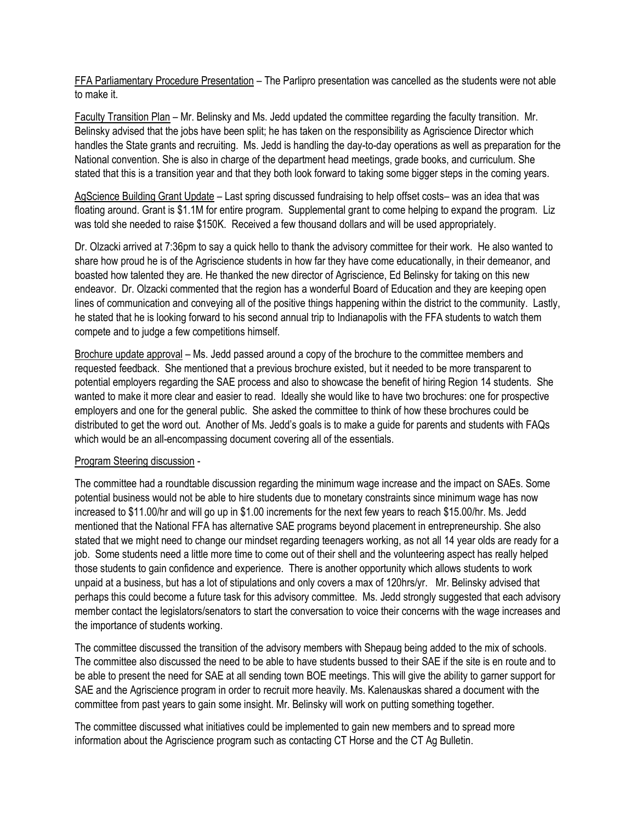FFA Parliamentary Procedure Presentation – The Parlipro presentation was cancelled as the students were not able to make it.

Faculty Transition Plan – Mr. Belinsky and Ms. Jedd updated the committee regarding the faculty transition. Mr. Belinsky advised that the jobs have been split; he has taken on the responsibility as Agriscience Director which handles the State grants and recruiting. Ms. Jedd is handling the day-to-day operations as well as preparation for the National convention. She is also in charge of the department head meetings, grade books, and curriculum. She stated that this is a transition year and that they both look forward to taking some bigger steps in the coming years.

AgScience Building Grant Update – Last spring discussed fundraising to help offset costs– was an idea that was floating around. Grant is \$1.1M for entire program. Supplemental grant to come helping to expand the program. Liz was told she needed to raise \$150K. Received a few thousand dollars and will be used appropriately.

Dr. Olzacki arrived at 7:36pm to say a quick hello to thank the advisory committee for their work. He also wanted to share how proud he is of the Agriscience students in how far they have come educationally, in their demeanor, and boasted how talented they are. He thanked the new director of Agriscience, Ed Belinsky for taking on this new endeavor. Dr. Olzacki commented that the region has a wonderful Board of Education and they are keeping open lines of communication and conveying all of the positive things happening within the district to the community. Lastly, he stated that he is looking forward to his second annual trip to Indianapolis with the FFA students to watch them compete and to judge a few competitions himself.

Brochure update approval - Ms. Jedd passed around a copy of the brochure to the committee members and requested feedback. She mentioned that a previous brochure existed, but it needed to be more transparent to potential employers regarding the SAE process and also to showcase the benefit of hiring Region 14 students. She wanted to make it more clear and easier to read. Ideally she would like to have two brochures: one for prospective employers and one for the general public. She asked the committee to think of how these brochures could be distributed to get the word out. Another of Ms. Jedd's goals is to make a guide for parents and students with FAQs which would be an all-encompassing document covering all of the essentials.

## Program Steering discussion -

The committee had a roundtable discussion regarding the minimum wage increase and the impact on SAEs. Some potential business would not be able to hire students due to monetary constraints since minimum wage has now increased to \$11.00/hr and will go up in \$1.00 increments for the next few years to reach \$15.00/hr. Ms. Jedd mentioned that the National FFA has alternative SAE programs beyond placement in entrepreneurship. She also stated that we might need to change our mindset regarding teenagers working, as not all 14 year olds are ready for a job. Some students need a little more time to come out of their shell and the volunteering aspect has really helped those students to gain confidence and experience. There is another opportunity which allows students to work unpaid at a business, but has a lot of stipulations and only covers a max of 120hrs/yr. Mr. Belinsky advised that perhaps this could become a future task for this advisory committee. Ms. Jedd strongly suggested that each advisory member contact the legislators/senators to start the conversation to voice their concerns with the wage increases and the importance of students working.

The committee discussed the transition of the advisory members with Shepaug being added to the mix of schools. The committee also discussed the need to be able to have students bussed to their SAE if the site is en route and to be able to present the need for SAE at all sending town BOE meetings. This will give the ability to garner support for SAE and the Agriscience program in order to recruit more heavily. Ms. Kalenauskas shared a document with the committee from past years to gain some insight. Mr. Belinsky will work on putting something together.

The committee discussed what initiatives could be implemented to gain new members and to spread more information about the Agriscience program such as contacting CT Horse and the CT Ag Bulletin.